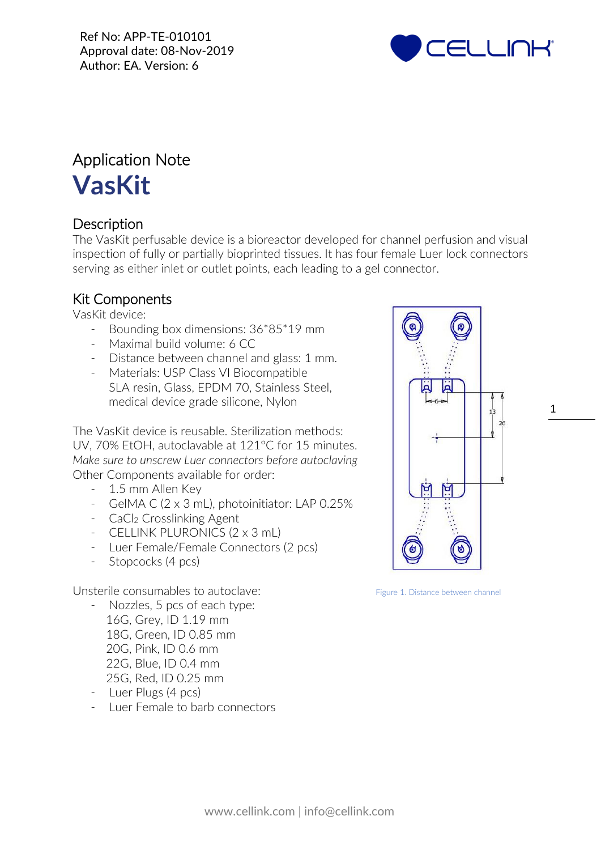

# Application Note **VasKit**

# **Description**

The VasKit perfusable device is a bioreactor developed for channel perfusion and visual inspection of fully or partially bioprinted tissues. It has four female Luer lock connectors serving as either inlet or outlet points, each leading to a gel connector.

## Kit Components

VasKit device:

- Bounding box dimensions:  $36*85*19$  mm
- Maximal build volume: 6 CC
- Distance between channel and glass: 1 mm.
- Materials: USP Class VI Biocompatible SLA resin, Glass, EPDM 70, Stainless Steel, medical device grade silicone, Nylon

The VasKit device is reusable. Sterilization methods: UV, 70% EtOH, autoclavable at 121°C for 15 minutes. *Make sure to unscrew Luer connectors before autoclaving* Other Components available for order:

- 1.5 mm Allen Key
- GelMA C (2 x 3 mL), photoinitiator: LAP 0.25%
- CaCl<sub>2</sub> Crosslinking Agent
- CELLINK PLURONICS (2 x 3 mL)
- Luer Female/Female Connectors (2 pcs)
- Stopcocks (4 pcs)

Unsterile consumables to autoclave:

- Nozzles, 5 pcs of each type: 16G, Grey, ID 1.19 mm 18G, Green, ID 0.85 mm 20G, Pink, ID 0.6 mm 22G, Blue, ID 0.4 mm 25G, Red, ID 0.25 mm
- Luer Plugs (4 pcs)
- Luer Female to barb connectors



Figure 1. Distance between channel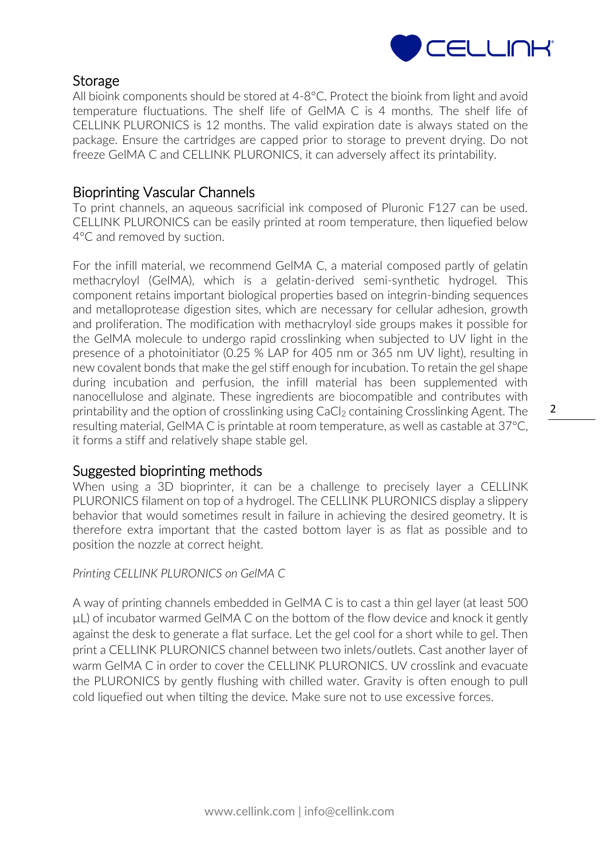

## **Storage**

All bioink components should be stored at 4-8°C. Protect the bioink from light and avoid temperature fluctuations. The shelf life of GelMA C is 4 months. The shelf life of CELLINK PLURONICS is 12 months. The valid expiration date is always stated on the package. Ensure the cartridges are capped prior to storage to prevent drying. Do not freeze GelMA C and CELLINK PLURONICS, it can adversely affect its printability.

### Bioprinting Vascular Channels

To print channels, an aqueous sacrificial ink composed of Pluronic F127 can be used. CELLINK PLURONICS can be easily printed at room temperature, then liquefied below 4°C and removed by suction.

For the infill material, we recommend GelMA C, a material composed partly of gelatin methacryloyl (GelMA), which is a gelatin-derived semi-synthetic hydrogel. This component retains important biological properties based on integrin-binding sequences and metalloprotease digestion sites, which are necessary for cellular adhesion, growth and proliferation. The modification with methacryloyl side groups makes it possible for the GelMA molecule to undergo rapid crosslinking when subjected to UV light in the presence of a photoinitiator (0.25 % LAP for 405 nm or 365 nm UV light), resulting in new covalent bonds that make the gel stiff enough for incubation. To retain the gel shape during incubation and perfusion, the infill material has been supplemented with nanocellulose and alginate. These ingredients are biocompatible and contributes with printability and the option of crosslinking using CaCl<sub>2</sub> containing Crosslinking Agent. The resulting material, GelMA C is printable at room temperature, as well as castable at 37°C, it forms a stiff and relatively shape stable gel.

#### Suggested bioprinting methods

When using a 3D bioprinter, it can be a challenge to precisely layer a CELLINK PLURONICS filament on top of a hydrogel. The CELLINK PLURONICS display a slippery behavior that would sometimes result in failure in achieving the desired geometry. It is therefore extra important that the casted bottom layer is as flat as possible and to position the nozzle at correct height.

#### *Printing CELLINK PLURONICS on GelMA C*

A way of printing channels embedded in GelMA C is to cast a thin gel layer (at least 500 µL) of incubator warmed GelMA C on the bottom of the flow device and knock it gently against the desk to generate a flat surface. Let the gel cool for a short while to gel. Then print a CELLINK PLURONICS channel between two inlets/outlets. Cast another layer of warm GelMA C in order to cover the CELLINK PLURONICS. UV crosslink and evacuate the PLURONICS by gently flushing with chilled water. Gravity is often enough to pull cold liquefied out when tilting the device. Make sure not to use excessive forces.